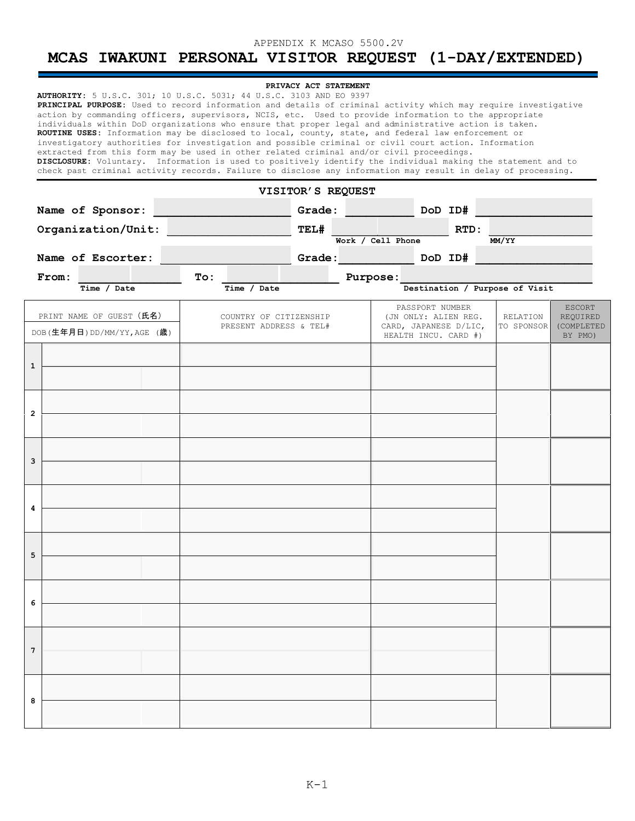## APPENDIX K MCASO 5500.2V

# **MCAS IWAKUNI PERSONAL VISITOR REQUEST (1-DAY/EXTENDED)**

| PRIVACY ACT STATEMENT<br>AUTHORITY: 5 U.S.C. 301; 10 U.S.C. 5031; 44 U.S.C. 3103 AND EO 9397<br>PRINCIPAL PURPOSE: Used to record information and details of criminal activity which may require investigative<br>action by commanding officers, supervisors, NCIS, etc. Used to provide information to the appropriate<br>individuals within DoD organizations who ensure that proper legal and administrative action is taken.<br>ROUTINE USES: Information may be disclosed to local, county, state, and federal law enforcement or<br>investigatory authorities for investigation and possible criminal or civil court action. Information<br>extracted from this form may be used in other related criminal and/or civil proceedings.<br>DISCLOSURE: Voluntary. Information is used to positively identify the individual making the statement and to<br>check past criminal activity records. Failure to disclose any information may result in delay of processing. |                                                         |                                                  |        |                                                                                          |         |                        |                                                    |  |  |
|----------------------------------------------------------------------------------------------------------------------------------------------------------------------------------------------------------------------------------------------------------------------------------------------------------------------------------------------------------------------------------------------------------------------------------------------------------------------------------------------------------------------------------------------------------------------------------------------------------------------------------------------------------------------------------------------------------------------------------------------------------------------------------------------------------------------------------------------------------------------------------------------------------------------------------------------------------------------------|---------------------------------------------------------|--------------------------------------------------|--------|------------------------------------------------------------------------------------------|---------|------------------------|----------------------------------------------------|--|--|
| VISITOR'S REQUEST                                                                                                                                                                                                                                                                                                                                                                                                                                                                                                                                                                                                                                                                                                                                                                                                                                                                                                                                                          |                                                         |                                                  |        |                                                                                          |         |                        |                                                    |  |  |
| Name of Sponsor:                                                                                                                                                                                                                                                                                                                                                                                                                                                                                                                                                                                                                                                                                                                                                                                                                                                                                                                                                           |                                                         |                                                  | Grade: |                                                                                          | DoD ID# |                        |                                                    |  |  |
|                                                                                                                                                                                                                                                                                                                                                                                                                                                                                                                                                                                                                                                                                                                                                                                                                                                                                                                                                                            | Organization/Unit:                                      |                                                  | TEL#   | Work / Cell Phone                                                                        | RTD:    | MM/YY                  |                                                    |  |  |
|                                                                                                                                                                                                                                                                                                                                                                                                                                                                                                                                                                                                                                                                                                                                                                                                                                                                                                                                                                            | Name of Escorter:                                       |                                                  | Grade: |                                                                                          | DoD ID# |                        |                                                    |  |  |
|                                                                                                                                                                                                                                                                                                                                                                                                                                                                                                                                                                                                                                                                                                                                                                                                                                                                                                                                                                            | From:                                                   | <b>To:</b>                                       |        | Purpose:                                                                                 |         |                        |                                                    |  |  |
| Destination / Purpose of Visit<br>Time / Date<br>Time /<br>Date                                                                                                                                                                                                                                                                                                                                                                                                                                                                                                                                                                                                                                                                                                                                                                                                                                                                                                            |                                                         |                                                  |        |                                                                                          |         |                        |                                                    |  |  |
|                                                                                                                                                                                                                                                                                                                                                                                                                                                                                                                                                                                                                                                                                                                                                                                                                                                                                                                                                                            | PRINT NAME OF GUEST (氏名)<br>DOB(生年月日) DD/MM/YY, AGE (歳) | COUNTRY OF CITIZENSHIP<br>PRESENT ADDRESS & TEL# |        | PASSPORT NUMBER<br>(JN ONLY: ALIEN REG.<br>CARD, JAPANESE D/LIC,<br>HEALTH INCU. CARD #) |         | RELATION<br>TO SPONSOR | <b>ESCORT</b><br>REQUIRED<br>(COMPLETED<br>BY PMO) |  |  |
| 1                                                                                                                                                                                                                                                                                                                                                                                                                                                                                                                                                                                                                                                                                                                                                                                                                                                                                                                                                                          |                                                         |                                                  |        |                                                                                          |         |                        |                                                    |  |  |
| $\overline{2}$                                                                                                                                                                                                                                                                                                                                                                                                                                                                                                                                                                                                                                                                                                                                                                                                                                                                                                                                                             |                                                         |                                                  |        |                                                                                          |         |                        |                                                    |  |  |
| 3                                                                                                                                                                                                                                                                                                                                                                                                                                                                                                                                                                                                                                                                                                                                                                                                                                                                                                                                                                          |                                                         |                                                  |        |                                                                                          |         |                        |                                                    |  |  |
| 4                                                                                                                                                                                                                                                                                                                                                                                                                                                                                                                                                                                                                                                                                                                                                                                                                                                                                                                                                                          |                                                         |                                                  |        |                                                                                          |         |                        |                                                    |  |  |
| 5                                                                                                                                                                                                                                                                                                                                                                                                                                                                                                                                                                                                                                                                                                                                                                                                                                                                                                                                                                          |                                                         |                                                  |        |                                                                                          |         |                        |                                                    |  |  |
| 6                                                                                                                                                                                                                                                                                                                                                                                                                                                                                                                                                                                                                                                                                                                                                                                                                                                                                                                                                                          |                                                         |                                                  |        |                                                                                          |         |                        |                                                    |  |  |
| 7                                                                                                                                                                                                                                                                                                                                                                                                                                                                                                                                                                                                                                                                                                                                                                                                                                                                                                                                                                          |                                                         |                                                  |        |                                                                                          |         |                        |                                                    |  |  |
| 8                                                                                                                                                                                                                                                                                                                                                                                                                                                                                                                                                                                                                                                                                                                                                                                                                                                                                                                                                                          |                                                         |                                                  |        |                                                                                          |         |                        |                                                    |  |  |